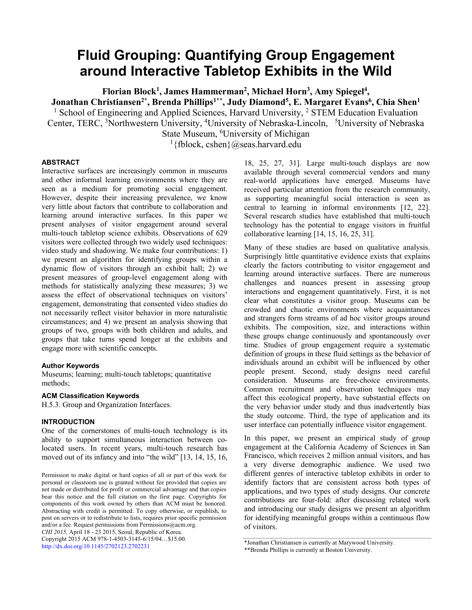# **Fluid Grouping: Quantifying Group Engagement** around Interactive Tabletop Exhibits in the Wild

Florian Block<sup>1</sup>, James Hammerman<sup>2</sup>, Michael Horn<sup>3</sup>, Amy Spiegel<sup>4</sup>,

Jonathan Christiansen<sup>2\*</sup>, Brenda Phillips<sup>1\*\*</sup>, Judy Diamond<sup>5</sup>, E. Margaret Evans<sup>6</sup>, Chia Shen<sup>1</sup>

<sup>1</sup> School of Engineering and Applied Sciences, Harvard University, <sup>2</sup> STEM Education Evaluation

Center, TERC, <sup>3</sup>Northwestern University, <sup>4</sup>University of Nebraska-Lincoln, <sup>5</sup>University of Nebraska

State Museum, <sup>6</sup>University of Michigan

<sup>1</sup>{fblock, cshen}@seas.harvard.edu

## **ABSTRACT**

Interactive surfaces are increasingly common in museums and other informal learning environments where they are seen as a medium for promoting social engagement. However, despite their increasing prevalence, we know very little about factors that contribute to collaboration and learning around interactive surfaces. In this paper we present analyses of visitor engagement around several multi-touch tabletop science exhibits. Observations of 629 visitors were collected through two widely used techniques: video study and shadowing. We make four contributions: 1) we present an algorithm for identifying groups within a dynamic flow of visitors through an exhibit hall; 2) we present measures of group-level engagement along with methods for statistically analyzing these measures; 3) we assess the effect of observational techniques on visitors' engagement, demonstrating that consented video studies do not necessarily reflect visitor behavior in more naturalistic circumstances; and 4) we present an analysis showing that groups of two, groups with both children and adults, and groups that take turns spend longer at the exhibits and engage more with scientific concepts.

## **Author Keywords**

Museums; learning; multi-touch tabletops; quantitative methods:

## **ACM Classification Keywords**

H.5.3. Group and Organization Interfaces.

## **INTRODUCTION**

One of the cornerstones of multi-touch technology is its ability to support simultaneous interaction between colocated users. In recent years, multi-touch research has moved out of its infancy and into "the wild" [13, 14, 15, 16,

Copyright 2015 ACM 978-1-4503-3145-6/15/04...\$15.00. http://dx.doi.org/10.1145/2702123.2702231

18, 25, 27, 31]. Large multi-touch displays are now available through several commercial vendors and many real-world applications have emerged. Museums have received particular attention from the research community, as supporting meaningful social interaction is seen as central to learning in informal environments [12, 22]. Several research studies have established that multi-touch technology has the potential to engage visitors in fruitful collaborative learning [14, 15, 16, 25, 31].

Many of these studies are based on qualitative analysis. Surprisingly little quantitative evidence exists that explains clearly the factors contributing to visitor engagement and learning around interactive surfaces. There are numerous challenges and nuances present in assessing group interactions and engagement quantitatively. First, it is not clear what constitutes a visitor group. Museums can be crowded and chaotic environments where acquaintances and strangers form streams of ad hoc visitor groups around exhibits. The composition, size, and interactions within these groups change continuously and spontaneously over time. Studies of group engagement require a systematic definition of groups in these fluid settings as the behavior of individuals around an exhibit will be influenced by other people present. Second, study designs need careful consideration. Museums are free-choice environments. Common recruitment and observation techniques may affect this ecological property, have substantial effects on the very behavior under study and thus inadvertently bias the study outcome. Third, the type of application and its user interface can potentially influence visitor engagement.

In this paper, we present an empirical study of group engagement at the California Academy of Sciences in San Francisco, which receives 2 million annual visitors, and has a very diverse demographic audience. We used two different genres of interactive tabletop exhibits in order to identify factors that are consistent across both types of applications, and two types of study designs. Our concrete contributions are four-fold: after discussing related work and introducing our study designs we present an algorithm for identifying meaningful groups within a continuous flow of visitors.

Permission to make digital or hard copies of all or part of this work for personal or classroom use is granted without fee provided that copies are not made or distributed for profit or commercial advantage and that copies bear this notice and the full citation on the first page. Copyrights for components of this work owned by others than ACM must be honored. Abstracting with credit is permitted. To copy otherwise, or republish, to post on servers or to redistribute to lists, requires prior specific permission and/or a fee. Request permissions from Permissions@acm.org. CHI 2015, April 18 - 23 2015, Seoul, Republic of Korea.

<sup>\*</sup>Jonathan Christiansen is currently at Marywood University.

<sup>\*\*</sup> Brenda Phillips is currently at Boston University.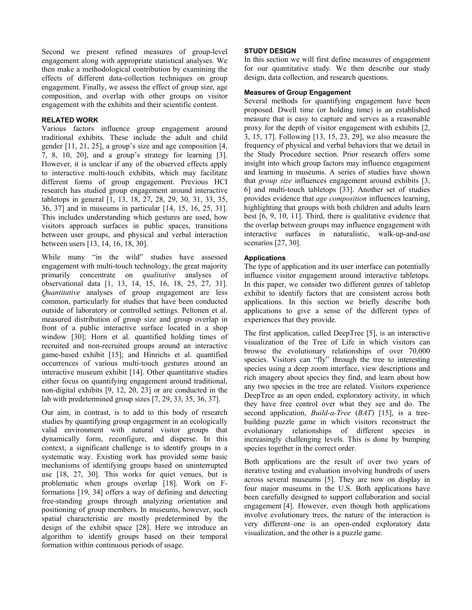Second we present refined measures of group-level engagement along with appropriate statistical analyses. We then make a methodological contribution by examining the effects of different data-collection techniques on group engagement. Finally, we assess the effect of group size, age composition, and overlap with other groups on visitor engagement with the exhibits and their scientific content.

# **RELATED WORK**

Various factors influence group engagement around traditional exhibits. These include the adult and child gender  $[11, 21, 25]$ , a group's size and age composition  $[4, 21, 25]$ 7, 8, 10, 20], and a group's strategy for learning [3]. However, it is unclear if any of the observed effects apply to interactive multi-touch exhibits, which may facilitate different forms of group engagement. Previous HCI research has studied group engagement around interactive tabletops in general [1, 13, 18, 27, 28, 29, 30, 31, 33, 35, 36, 37] and in museums in particular [14, 15, 16, 25, 31]. This includes understanding which gestures are used, how visitors approach surfaces in public spaces, transitions between user groups, and physical and verbal interaction between users [13, 14, 16, 18, 30].

While many "in the wild" studies have assessed engagement with multi-touch technology, the great majority primarily concentrate on *qualitative* analyses of observational data [1, 13, 14, 15, 16, 18, 25, 27, 31]. Quantitative analyses of group engagement are less common, particularly for studies that have been conducted outside of laboratory or controlled settings. Peltonen et al. measured distribution of group size and group overlap in front of a public interactive surface located in a shop window [30]; Horn et al. quantified holding times of recruited and non-recruited groups around an interactive game-based exhibit [15]; and Hinrichs et al. quantified occurrences of various multi-touch gestures around an interactive museum exhibit [14]. Other quantitative studies either focus on quantifying engagement around traditional, non-digital exhibits [9, 12, 20, 23] or are conducted in the lab with predetermined group sizes  $[7, 29, 33, 35, 36, 37]$ .

Our aim, in contrast, is to add to this body of research studies by quantifying group engagement in an ecologically valid environment with natural visitor groups that dynamically form, reconfigure, and disperse. In this context, a significant challenge is to identify groups in a systematic way. Existing work has provided some basic mechanisms of identifying groups based on uninterrupted use [18, 27, 30]. This works for quiet venues, but is problematic when groups overlap [18]. Work on Fformations [19, 34] offers a way of defining and detecting free-standing groups through analyzing orientation and positioning of group members. In museums, however, such spatial characteristic are mostly predetermined by the design of the exhibit space [28]. Here we introduce an algorithm to identify groups based on their temporal formation within continuous periods of usage.

# **STUDY DESIGN**

In this section we will first define measures of engagement for our quantitative study. We then describe our study design, data collection, and research questions.

# **Measures of Group Engagement**

Several methods for quantifying engagement have been proposed. Dwell time (or holding time) is an established measure that is easy to capture and serves as a reasonable proxy for the depth of visitor engagement with exhibits [2, 3, 15, 17]. Following [13, 15, 23, 29], we also measure the frequency of physical and verbal behaviors that we detail in the Study Procedure section. Prior research offers some insight into which group factors may influence engagement and learning in museums. A series of studies have shown that *group* size influences engagement around exhibits [3, 6] and multi-touch tabletops [33]. Another set of studies provides evidence that *age composition* influences learning, highlighting that groups with both children and adults learn best  $[6, 9, 10, 11]$ . Third, there is qualitative evidence that the overlap between groups may influence engagement with interactive surfaces in naturalistic, walk-up-and-use scenarios  $[27, 30]$ .

# **Applications**

The type of application and its user interface can potentially influence visitor engagement around interactive tabletops. In this paper, we consider two different genres of tabletop exhibit to identify factors that are consistent across both applications. In this section we briefly describe both applications to give a sense of the different types of experiences that they provide.

The first application, called DeepTree [5], is an interactive visualization of the Tree of Life in which visitors can browse the evolutionary relationships of over 70,000 species. Visitors can "fly" through the tree to interesting species using a deep zoom interface, view descriptions and rich imagery about species they find, and learn about how any two species in the tree are related. Visitors experience DeepTree as an open ended, exploratory activity, in which they have free control over what they see and do. The second application, *Build-a-Tree*  $(BAT)$  [15], is a treebuilding puzzle game in which visitors reconstruct the evolutionary relationships of different species in increasingly challenging levels. This is done by bumping species together in the correct order.

Both applications are the result of over two years of iterative testing and evaluation involving hundreds of users across several museums [5]. They are now on display in four major museums in the U.S. Both applications have been carefully designed to support collaboration and social engagement [4]. However, even though both applications involve evolutionary trees, the nature of the interaction is very different-one is an open-ended exploratory data visualization, and the other is a puzzle game.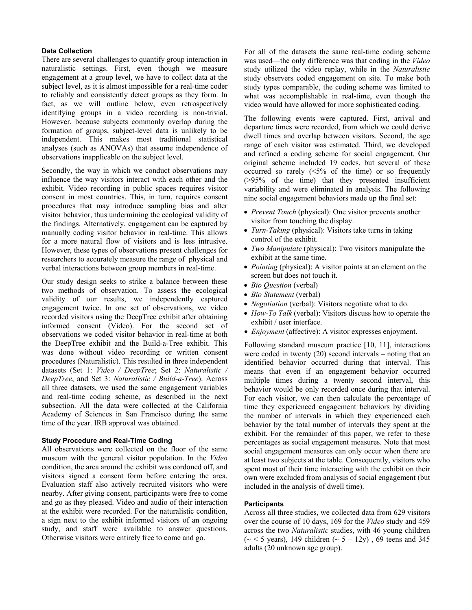## **Data Collection**

There are several challenges to quantify group interaction in naturalistic settings. First, even though we measure engagement at a group level, we have to collect data at the subject level, as it is almost impossible for a real-time coder to reliably and consistently detect groups as they form. In fact, as we will outline below, even retrospectively identifying groups in a video recording is non-trivial. However, because subjects commonly overlap during the formation of groups, subject-level data is unlikely to be independent. This makes most traditional statistical analyses (such as ANOVAs) that assume independence of observations inapplicable on the subject level.

Secondly, the way in which we conduct observations may influence the way visitors interact with each other and the exhibit. Video recording in public spaces requires visitor consent in most countries. This, in turn, requires consent procedures that may introduce sampling bias and alter visitor behavior, thus undermining the ecological validity of the findings. Alternatively, engagement can be captured by manually coding visitor behavior in real-time. This allows for a more natural flow of visitors and is less intrusive. However, these types of observations present challenges for researchers to accurately measure the range of physical and verbal interactions between group members in real-time.

Our study design seeks to strike a balance between these two methods of observation. To assess the ecological validity of our results, we independently captured engagement twice. In one set of observations, we video recorded visitors using the DeepTree exhibit after obtaining informed consent (Video). For the second set of observations we coded visitor behavior in real-time at both the DeepTree exhibit and the Build-a-Tree exhibit. This was done without video recording or written consent procedures (Naturalistic). This resulted in three independent datasets (Set 1: Video / DeepTree; Set 2: Naturalistic / DeepTree, and Set 3: Naturalistic / Build-a-Tree). Across all three datasets, we used the same engagement variables and real-time coding scheme, as described in the next subsection. All the data were collected at the California Academy of Sciences in San Francisco during the same time of the year. IRB approval was obtained.

## **Study Procedure and Real-Time Coding**

All observations were collected on the floor of the same museum with the general visitor population. In the Video condition, the area around the exhibit was cordoned off, and visitors signed a consent form before entering the area. Evaluation staff also actively recruited visitors who were nearby. After giving consent, participants were free to come and go as they pleased. Video and audio of their interaction at the exhibit were recorded. For the naturalistic condition, a sign next to the exhibit informed visitors of an ongoing study, and staff were available to answer questions. Otherwise visitors were entirely free to come and go.

For all of the datasets the same real-time coding scheme was used—the only difference was that coding in the Video study utilized the video replay, while in the Naturalistic study observers coded engagement on site. To make both study types comparable, the coding scheme was limited to what was accomplishable in real-time, even though the video would have allowed for more sophisticated coding.

The following events were captured. First, arrival and departure times were recorded, from which we could derive dwell times and overlap between visitors. Second, the age range of each visitor was estimated. Third, we developed and refined a coding scheme for social engagement. Our original scheme included 19 codes, but several of these occurred so rarely  $(<5\%$  of the time) or so frequently  $($ >95% of the time) that they presented insufficient variability and were eliminated in analysis. The following nine social engagement behaviors made up the final set:

- *Prevent Touch* (physical): One visitor prevents another visitor from touching the display.
- Turn-Taking (physical): Visitors take turns in taking control of the exhibit.
- *Two Manipulate* (physical): Two visitors manipulate the exhibit at the same time.
- *Pointing* (physical): A visitor points at an element on the screen but does not touch it.
- *Bio Question* (verbal)
- *Bio Statement* (verbal)
- *Negotiation* (verbal): Visitors negotiate what to do.
- How-To Talk (verbal): Visitors discuss how to operate the exhibit / user interface.
- *Enjoyment* (affective): A visitor expresses enjoyment.

Following standard museum practice [10, 11], interactions were coded in twenty  $(20)$  second intervals – noting that an identified behavior occurred during that interval. This means that even if an engagement behavior occurred multiple times during a twenty second interval, this behavior would be only recorded once during that interval. For each visitor, we can then calculate the percentage of time they experienced engagement behaviors by dividing the number of intervals in which they experienced each behavior by the total number of intervals they spent at the exhibit. For the remainder of this paper, we refer to these percentages as social engagement measures. Note that most social engagement measures can only occur when there are at least two subjects at the table. Consequently, visitors who spent most of their time interacting with the exhibit on their own were excluded from analysis of social engagement (but) included in the analysis of dwell time).

## **Participants**

Across all three studies, we collected data from 629 visitors over the course of 10 days, 169 for the Video study and 459 across the two Naturalistic studies, with 46 young children  $(\sim$  < 5 years), 149 children  $(\sim$  5 – 12y), 69 teens and 345 adults (20 unknown age group).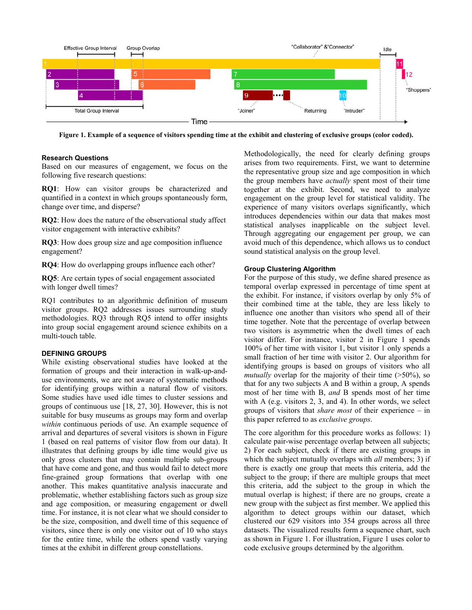

Figure 1. Example of a sequence of visitors spending time at the exhibit and clustering of exclusive groups (color coded).

# **Research Questions**

Based on our measures of engagement, we focus on the following five research questions:

**RO1**: How can visitor groups be characterized and quantified in a context in which groups spontaneously form, change over time, and disperse?

**RO2**: How does the nature of the observational study affect visitor engagement with interactive exhibits?

**RQ3**: How does group size and age composition influence engagement?

**RQ4**: How do overlapping groups influence each other?

**RQ5**: Are certain types of social engagement associated with longer dwell times?

RQ1 contributes to an algorithmic definition of museum visitor groups. RQ2 addresses issues surrounding study methodologies. RQ3 through RQ5 intend to offer insights into group social engagement around science exhibits on a multi-touch table.

# **DEFINING GROUPS**

While existing observational studies have looked at the formation of groups and their interaction in walk-up-anduse environments, we are not aware of systematic methods for identifying groups within a natural flow of visitors. Some studies have used idle times to cluster sessions and groups of continuous use  $[18, 27, 30]$ . However, this is not suitable for busy museums as groups may form and overlap within continuous periods of use. An example sequence of arrival and departures of several visitors is shown in Figure 1 (based on real patterns of visitor flow from our data). It illustrates that defining groups by idle time would give us only gross clusters that may contain multiple sub-groups that have come and gone, and thus would fail to detect more fine-grained group formations that overlap with one another. This makes quantitative analysis inaccurate and problematic, whether establishing factors such as group size and age composition, or measuring engagement or dwell time. For instance, it is not clear what we should consider to be the size, composition, and dwell time of this sequence of visitors, since there is only one visitor out of 10 who stays for the entire time, while the others spend vastly varying times at the exhibit in different group constellations.

Methodologically, the need for clearly defining groups arises from two requirements. First, we want to determine the representative group size and age composition in which the group members have *actually* spent most of their time together at the exhibit. Second, we need to analyze engagement on the group level for statistical validity. The experience of many visitors overlaps significantly, which introduces dependencies within our data that makes most statistical analyses inapplicable on the subject level. Through aggregating our engagement per group, we can avoid much of this dependence, which allows us to conduct sound statistical analysis on the group level.

#### **Group Clustering Algorithm**

For the purpose of this study, we define shared presence as temporal overlap expressed in percentage of time spent at the exhibit. For instance, if visitors overlap by only 5% of their combined time at the table, they are less likely to influence one another than visitors who spend all of their time together. Note that the percentage of overlap between two visitors is asymmetric when the dwell times of each visitor differ. For instance, visitor 2 in Figure 1 spends 100% of her time with visitor 1, but visitor 1 only spends a small fraction of her time with visitor 2. Our algorithm for identifying groups is based on groups of visitors who all *mutually* overlap for the majority of their time  $($ >50%), so that for any two subjects A and B within a group, A spends most of her time with B, and B spends most of her time with A (e.g. visitors  $2$ ,  $3$ , and  $4$ ). In other words, we select groups of visitors that *share most* of their experience  $-$  in this paper referred to as exclusive groups.

The core algorithm for this procedure works as follows: 1) calculate pair-wise percentage overlap between all subjects; 2) For each subject, check if there are existing groups in which the subject mutually overlaps with *all* members; 3) if there is exactly one group that meets this criteria, add the subject to the group; if there are multiple groups that meet this criteria, add the subject to the group in which the mutual overlap is highest; if there are no groups, create a new group with the subject as first member. We applied this algorithm to detect groups within our dataset, which clustered our 629 visitors into 354 groups across all three datasets. The visualized results form a sequence chart, such as shown in Figure 1. For illustration, Figure 1 uses color to code exclusive groups determined by the algorithm.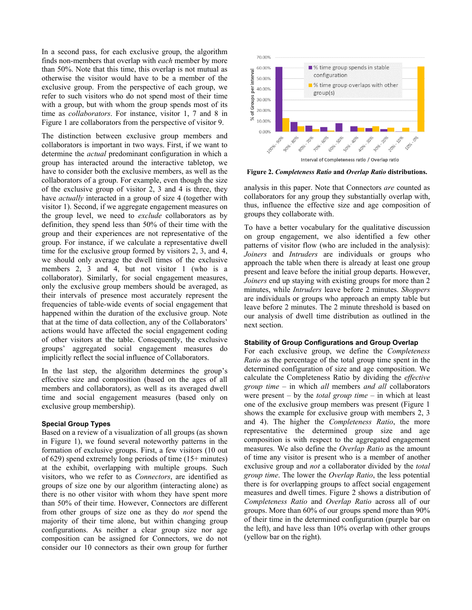In a second pass, for each exclusive group, the algorithm finds non-members that overlap with *each* member by more than 50%. Note that this time, this overlap is not mutual as otherwise the visitor would have to be a member of the exclusive group. From the perspective of each group, we refer to such visitors who do not spend most of their time with a group, but with whom the group spends most of its time as *collaborators*. For instance, visitor 1, 7 and 8 in Figure 1 are collaborators from the perspective of visitor 9.

The distinction between exclusive group members and collaborators is important in two ways. First, if we want to determine the *actual* predominant configuration in which a group has interacted around the interactive tabletop, we have to consider both the exclusive members, as well as the collaborators of a group. For example, even though the size of the exclusive group of visitor 2, 3 and 4 is three, they have *actually* interacted in a group of size 4 (together with visitor 1). Second, if we aggregate engagement measures on the group level, we need to *exclude* collaborators as by definition, they spend less than 50% of their time with the group and their experiences are not representative of the group. For instance, if we calculate a representative dwell time for the exclusive group formed by visitors 2, 3, and 4, we should only average the dwell times of the exclusive members 2, 3 and 4, but not visitor 1 (who is a collaborator). Similarly, for social engagement measures, only the exclusive group members should be averaged, as their intervals of presence most accurately represent the frequencies of table-wide events of social engagement that happened within the duration of the exclusive group. Note that at the time of data collection, any of the Collaborators' actions would have affected the social engagement coding of other visitors at the table. Consequently, the exclusive groups' aggregated social engagement measures do implicitly reflect the social influence of Collaborators.

In the last step, the algorithm determines the group's effective size and composition (based on the ages of all members and collaborators), as well as its averaged dwell time and social engagement measures (based only on exclusive group membership).

## **Special Group Types**

Based on a review of a visualization of all groups (as shown in Figure 1), we found several noteworthy patterns in the formation of exclusive groups. First, a few visitors (10 out of 629) spend extremely long periods of time  $(15 + \text{minutes})$ at the exhibit, overlapping with multiple groups. Such visitors, who we refer to as Connectors, are identified as groups of size one by our algorithm (interacting alone) as there is no other visitor with whom they have spent more than 50% of their time. However, Connectors are different from other groups of size one as they do *not* spend the majority of their time alone, but within changing group configurations. As neither a clear group size nor age composition can be assigned for Connectors, we do not consider our 10 connectors as their own group for further



Figure 2. Completeness Ratio and Overlap Ratio distributions.

analysis in this paper. Note that Connectors are counted as collaborators for any group they substantially overlap with. thus, influence the effective size and age composition of groups they collaborate with.

To have a better vocabulary for the qualitative discussion on group engagement, we also identified a few other patterns of visitor flow (who are included in the analysis): Joiners and Intruders are individuals or groups who approach the table when there is already at least one group present and leave before the initial group departs. However, *Joiners* end up staying with existing groups for more than 2 minutes, while *Intruders* leave before 2 minutes. Shoppers are individuals or groups who approach an empty table but leave before 2 minutes. The 2 minute threshold is based on our analysis of dwell time distribution as outlined in the next section.

## **Stability of Group Configurations and Group Overlap**

For each exclusive group, we define the Completeness Ratio as the percentage of the total group time spent in the determined configuration of size and age composition. We calculate the Completeness Ratio by dividing the effective group time – in which all members and all collaborators were present – by the *total group time* – in which at least one of the exclusive group members was present (Figure 1) shows the example for exclusive group with members 2, 3 and 4). The higher the *Completeness Ratio*, the more representative the determined group size and age composition is with respect to the aggregated engagement measures. We also define the Overlap Ratio as the amount of time any visitor is present who is a member of another exclusive group and *not* a collaborator divided by the *total* group time. The lower the Overlap Ratio, the less potential there is for overlapping groups to affect social engagement measures and dwell times. Figure 2 shows a distribution of Completeness Ratio and Overlap Ratio across all of our groups. More than 60% of our groups spend more than 90% of their time in the determined configuration (purple bar on the left), and have less than 10% overlap with other groups (yellow bar on the right).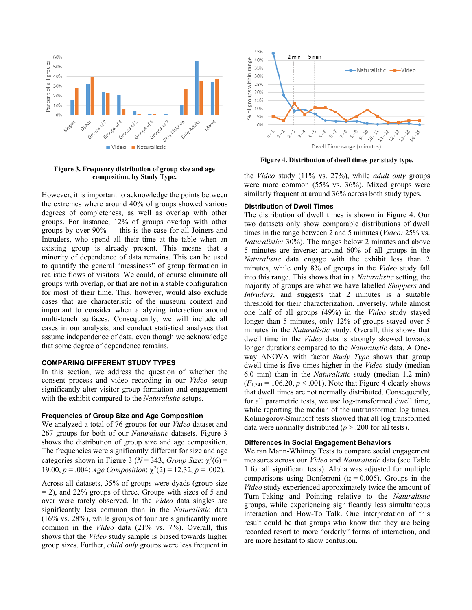

Figure 3. Frequency distribution of group size and age composition, by Study Type.

However, it is important to acknowledge the points between the extremes where around 40% of groups showed various degrees of completeness, as well as overlap with other groups. For instance, 12% of groups overlap with other groups by over  $90\%$  — this is the case for all Joiners and Intruders, who spend all their time at the table when an existing group is already present. This means that a minority of dependence of data remains. This can be used to quantify the general "messiness" of group formation in realistic flows of visitors. We could, of course eliminate all groups with overlap, or that are not in a stable configuration for most of their time. This, however, would also exclude cases that are characteristic of the museum context and important to consider when analyzing interaction around multi-touch surfaces. Consequently, we will include all cases in our analysis, and conduct statistical analyses that assume independence of data, even though we acknowledge that some degree of dependence remains.

#### **COMPARING DIFFERENT STUDY TYPES**

In this section, we address the question of whether the consent process and video recording in our Video setup significantly alter visitor group formation and engagement with the exhibit compared to the *Naturalistic* setups.

#### Frequencies of Group Size and Age Composition

We analyzed a total of 76 groups for our *Video* dataset and 267 groups for both of our *Naturalistic* datasets. Figure 3 shows the distribution of group size and age composition. The frequencies were significantly different for size and age categories shown in Figure 3 ( $N = 343$ , Group Size:  $\chi^2(6) =$ 19.00,  $p = .004$ ; Age Composition:  $\chi^2(2) = 12.32$ ,  $p = .002$ ).

Across all datasets, 35% of groups were dyads (group size  $=$  2), and 22% groups of three. Groups with sizes of 5 and over were rarely observed. In the Video data singles are significantly less common than in the Naturalistic data  $(16\% \text{ vs. } 28\%)$ , while groups of four are significantly more common in the Video data (21% vs. 7%). Overall, this shows that the *Video* study sample is biased towards higher group sizes. Further, *child only* groups were less frequent in



Figure 4. Distribution of dwell times per study type.

the *Video* study  $(11\% \text{ vs. } 27\%)$ , while *adult only* groups were more common  $(55\% \text{ vs. } 36\%)$ . Mixed groups were similarly frequent at around 36% across both study types.

#### **Distribution of Dwell Times**

The distribution of dwell times is shown in Figure 4. Our two datasets only show comparable distributions of dwell times in the range between 2 and 5 minutes (Video: 25% vs. *Naturalistic:* 30%). The ranges below 2 minutes and above 5 minutes are inverse: around 60% of all groups in the Naturalistic data engage with the exhibit less than 2 minutes, while only 8% of groups in the Video study fall into this range. This shows that in a *Naturalistic* setting, the majority of groups are what we have labelled *Shoppers* and *Intruders*, and suggests that 2 minutes is a suitable threshold for their characterization. Inversely, while almost one half of all groups (49%) in the Video study stayed longer than 5 minutes, only 12% of groups stayed over 5 minutes in the *Naturalistic* study. Overall, this shows that dwell time in the Video data is strongly skewed towards longer durations compared to the *Naturalistic* data. A Oneway ANOVA with factor Study Type shows that group dwell time is five times higher in the Video study (median 6.0 min) than in the *Naturalistic* study (median 1.2 min)  $(F_{1,341} = 106.20, p \le 0.001)$ . Note that Figure 4 clearly shows that dwell times are not normally distributed. Consequently, for all parametric tests, we use log-transformed dwell time, while reporting the median of the untransformed log times. Kolmogorov-Smirnoff tests showed that all log transformed data were normally distributed ( $p > .200$  for all tests).

#### **Differences in Social Engagement Behaviors**

We ran Mann-Whitney Tests to compare social engagement measures across our *Video* and *Naturalistic* data (see Table 1 for all significant tests). Alpha was adjusted for multiple comparisons using Bonferroni ( $\alpha$  = 0.005). Groups in the Video study experienced approximately twice the amount of Turn-Taking and Pointing relative to the Naturalistic groups, while experiencing significantly less simultaneous interaction and How-To Talk. One interpretation of this result could be that groups who know that they are being recorded resort to more "orderly" forms of interaction, and are more hesitant to show confusion.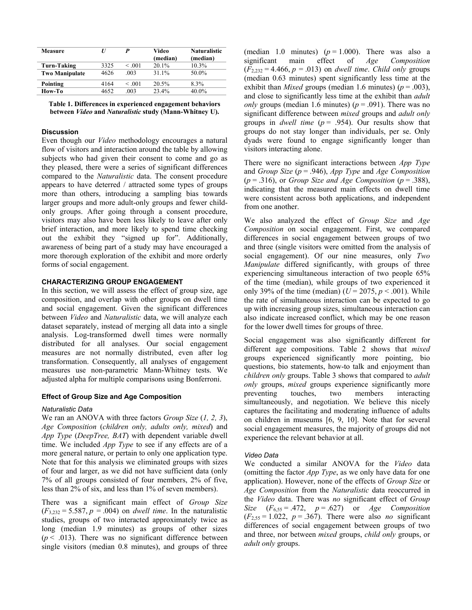| <b>Measure</b>        | $\boldsymbol{U}$ |             | Video<br>(median) | <b>Naturalistic</b><br>(median) |
|-----------------------|------------------|-------------|-------------------|---------------------------------|
| Turn-Taking           | 3325             | $\leq 0.01$ | $20.1\%$          | 10.3%                           |
| <b>Two Manipulate</b> | 4626             | .003        | $31.1\%$          | 50.0%                           |
| Pointing              | 4164             | < 0.01      | 20.5%             | 8.3%                            |
| How-To                | 4652             | .003        | $23.4\%$          | 40.0%                           |

Table 1. Differences in experienced engagement behaviors between Video and Naturalistic study (Mann-Whitney U).

## **Discussion**

Even though our *Video* methodology encourages a natural flow of visitors and interaction around the table by allowing subjects who had given their consent to come and go as they pleased, there were a series of significant differences compared to the Naturalistic data. The consent procedure appears to have deterred / attracted some types of groups more than others, introducing a sampling bias towards larger groups and more adult-only groups and fewer childonly groups. After going through a consent procedure, visitors may also have been less likely to leave after only brief interaction, and more likely to spend time checking out the exhibit they "signed up for". Additionally, awareness of being part of a study may have encouraged a more thorough exploration of the exhibit and more orderly forms of social engagement.

## **CHARACTERIZING GROUP ENGAGEMENT**

In this section, we will assess the effect of group size, age composition, and overlap with other groups on dwell time and social engagement. Given the significant differences between Video and Naturalistic data, we will analyze each dataset separately, instead of merging all data into a single analysis. Log-transformed dwell times were normally distributed for all analyses. Our social engagement measures are not normally distributed, even after log transformation. Consequently, all analyses of engagement measures use non-parametric Mann-Whitney tests. We adjusted alpha for multiple comparisons using Bonferroni.

#### **Effect of Group Size and Age Composition**

#### Naturalistic Data

We ran an ANOVA with three factors *Group Size*  $(1, 2, 3)$ , Age Composition (children only, adults only, mixed) and App Type (DeepTree, BAT) with dependent variable dwell time. We included *App Type* to see if any effects are of a more general nature, or pertain to only one application type. Note that for this analysis we eliminated groups with sizes of four and larger, as we did not have sufficient data (only 7% of all groups consisted of four members, 2% of five, less than 2% of six, and less than 1% of seven members).

There was a significant main effect of Group Size  $(F_{3,232} = 5.587, p = .004)$  on *dwell time*. In the naturalistic studies, groups of two interacted approximately twice as long (median 1.9 minutes) as groups of other sizes  $(p < .013)$ . There was no significant difference between single visitors (median 0.8 minutes), and groups of three (median 1.0 minutes)  $(p = 1.000)$ . There was also a significant main effect of Age Composition  $(F_{2,232} = 4.466, p = .013)$  on *dwell time. Child only* groups (median 0.63 minutes) spent significantly less time at the exhibit than *Mixed* groups (median 1.6 minutes) ( $p = .003$ ), and close to significantly less time at the exhibit than *adult* only groups (median 1.6 minutes) ( $p = .091$ ). There was no significant difference between *mixed* groups and *adult only* groups in *dwell time* ( $p = .954$ ). Our results show that groups do not stay longer than individuals, per se. Only dyads were found to engage significantly longer than visitors interacting alone.

There were no significant interactions between *App Type* and Group Size ( $p = .946$ ), App Type and Age Composition  $(p = .316)$ , or *Group Size and Age Composition*  $(p = .388)$ , indicating that the measured main effects on dwell time were consistent across both applications, and independent from one another.

We also analyzed the effect of Group Size and Age Composition on social engagement. First, we compared differences in social engagement between groups of two and three (single visitors were omitted from the analysis of social engagement). Of our nine measures, only Two Manipulate differed significantly, with groups of three experiencing simultaneous interaction of two people 65% of the time (median), while groups of two experienced it only 39% of the time (median) ( $U = 2075$ ,  $p < .001$ ). While the rate of simultaneous interaction can be expected to go up with increasing group sizes, simultaneous interaction can also indicate increased conflict, which may be one reason for the lower dwell times for groups of three.

Social engagement was also significantly different for different age compositions. Table 2 shows that *mixed* groups experienced significantly more pointing, bio questions, bio statements, how-to talk and enjoyment than children only groups. Table 3 shows that compared to *adult* only groups, *mixed* groups experience significantly more preventing touches. two members interacting simultaneously, and negotiation. We believe this nicely captures the facilitating and moderating influence of adults on children in museums  $[6, 9, 10]$ . Note that for several social engagement measures, the majority of groups did not experience the relevant behavior at all.

#### Video Data

We conducted a similar ANOVA for the Video data (omitting the factor  $App Type$ , as we only have data for one application). However, none of the effects of Group Size or Age Composition from the Naturalistic data reoccurred in the Video data. There was no significant effect of Group Size  $(F_{6,55} = .472, p = .627)$  or *Age Composition*<br>( $F_{2,55} = 1.022, p = .367$ ). There were also *no* significant differences of social engagement between groups of two and three, nor between *mixed* groups, *child only* groups, or adult only groups.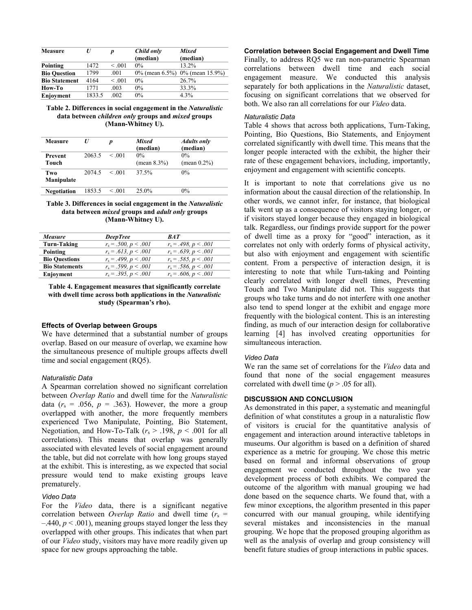| Measure              |        | D           | Child only<br>(median) | <b>Mixed</b><br>(median)             |
|----------------------|--------|-------------|------------------------|--------------------------------------|
| Pointing             | 1472   | < 0.01      | $0\%$                  | $13.2\%$                             |
| <b>Bio Ouestion</b>  | 1799   | .001        |                        | $0\%$ (mean 6.5%) $0\%$ (mean 15.9%) |
| <b>Bio Statement</b> | 4164   | $\leq 0.01$ | $0\%$                  | 26.7%                                |
| How-To               | 1771   | .003        | $0\%$                  | 33.3%                                |
| Eniovment            | 1833 5 | 002         | $0\%$                  | 4 3%                                 |

Table 2. Differences in social engagement in the Naturalistic data between *children only* groups and *mixed* groups (Mann-Whitney U).

| Measure                 | $\boldsymbol{I}$ | D           | <b>Mixed</b><br>(median) | <b>Adults only</b><br>(median) |
|-------------------------|------------------|-------------|--------------------------|--------------------------------|
| <b>Prevent</b><br>Touch | 2063.5           | $\leq 0.01$ | $0\%$<br>$(mean 8.3\%)$  | $0\%$<br>(mean $0.2\%$ )       |
| Two<br>Manipulate       | 2074.5           | < 0.01      | 37.5%                    | $0\%$                          |
| Negotiation             | 1853.5           | $\leq 001$  | 25.0%                    | $0\%$                          |

#### Table 3. Differences in social engagement in the Naturalistic data between *mixed* groups and *adult only* groups (Mann-Whitney U).

| <b>Measure</b>        | <b>DeepTree</b>        | <b>BAT</b>             |
|-----------------------|------------------------|------------------------|
| Turn-Taking           | $r_s = .500, p < .001$ | $r_s = .498, p < .001$ |
| Pointing              | $r_s = .613, p < .001$ | $r_s = .639, p < .001$ |
| <b>Bio Questions</b>  | $r_s = .499, p < .001$ | $r_s = .585, p < .001$ |
| <b>Bio Statements</b> | $r_s = .599, p < .001$ | $r_s = .586, p < .001$ |
| Enjoyment             | $r_s = .395, p < .001$ | $r_s = .606, p < .001$ |

#### Table 4. Engagement measures that significantly correlate with dwell time across both applications in the Naturalistic study (Spearman's rho).

#### **Effects of Overlap between Groups**

We have determined that a substantial number of groups overlap. Based on our measure of overlap, we examine how the simultaneous presence of multiple groups affects dwell time and social engagement (RQ5).

#### Naturalistic Data

A Spearman correlation showed no significant correlation between Overlap Ratio and dwell time for the Naturalistic data  $(r_s = .056, p = .363)$ . However, the more a group overlapped with another, the more frequently members experienced Two Manipulate, Pointing, Bio Statement, Negotiation, and How-To-Talk ( $r_s$  > .198,  $p$  < .001 for all correlations). This means that overlap was generally associated with elevated levels of social engagement around the table, but did not correlate with how long groups stayed at the exhibit. This is interesting, as we expected that social pressure would tend to make existing groups leave prematurely.

#### Video Data

For the *Video* data, there is a significant negative correlation between *Overlap Ratio* and dwell time  $(r_s =$  $-440, p < 0.001$ , meaning groups stayed longer the less they overlapped with other groups. This indicates that when part of our Video study, visitors may have more readily given up space for new groups approaching the table.

# **Correlation between Social Engagement and Dwell Time**

Finally, to address RQ5 we ran non-parametric Spearman correlations between dwell time and each social engagement measure. We conducted this analysis separately for both applications in the Naturalistic dataset, focusing on significant correlations that we observed for both. We also ran all correlations for our *Video* data.

#### Naturalistic Data

Table 4 shows that across both applications, Turn-Taking, Pointing, Bio Ouestions, Bio Statements, and Enjoyment correlated significantly with dwell time. This means that the longer people interacted with the exhibit, the higher their rate of these engagement behaviors, including, importantly, enjoyment and engagement with scientific concepts.

It is important to note that correlations give us no information about the causal direction of the relationship. In other words, we cannot infer, for instance, that biological talk went up as a consequence of visitors staying longer, or if visitors stayed longer because they engaged in biological talk. Regardless, our findings provide support for the power of dwell time as a proxy for "good" interaction, as it correlates not only with orderly forms of physical activity, but also with enjoyment and engagement with scientific content. From a perspective of interaction design, it is interesting to note that while Turn-taking and Pointing clearly correlated with longer dwell times, Preventing Touch and Two Manipulate did not. This suggests that groups who take turns and do not interfere with one another also tend to spend longer at the exhibit and engage more frequently with the biological content. This is an interesting finding, as much of our interaction design for collaborative learning [4] has involved creating opportunities for simultaneous interaction.

## Video Data

We ran the same set of correlations for the Video data and found that none of the social engagement measures correlated with dwell time ( $p > .05$  for all).

# **DISCUSSION AND CONCLUSION**

As demonstrated in this paper, a systematic and meaningful definition of what constitutes a group in a naturalistic flow of visitors is crucial for the quantitative analysis of engagement and interaction around interactive tabletops in museums. Our algorithm is based on a definition of shared experience as a metric for grouping. We chose this metric based on formal and informal observations of group engagement we conducted throughout the two year development process of both exhibits. We compared the outcome of the algorithm with manual grouping we had done based on the sequence charts. We found that, with a few minor exceptions, the algorithm presented in this paper concurred with our manual grouping, while identifying several mistakes and inconsistencies in the manual grouping. We hope that the proposed grouping algorithm as well as the analysis of overlap and group consistency will benefit future studies of group interactions in public spaces.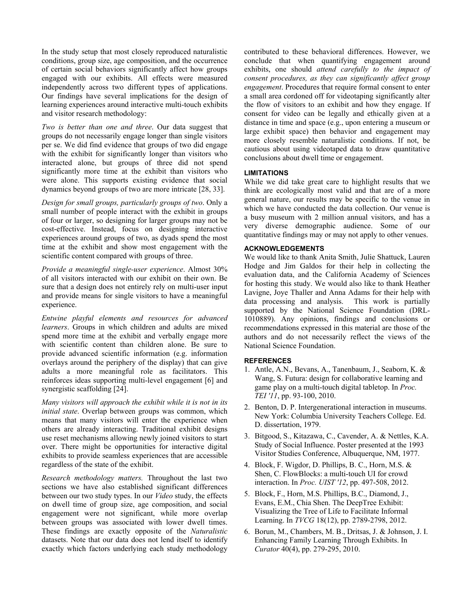In the study setup that most closely reproduced naturalistic conditions, group size, age composition, and the occurrence of certain social behaviors significantly affect how groups engaged with our exhibits. All effects were measured independently across two different types of applications. Our findings have several implications for the design of learning experiences around interactive multi-touch exhibits and visitor research methodology:

Two is better than one and three. Our data suggest that groups do not necessarily engage longer than single visitors per se. We did find evidence that groups of two did engage with the exhibit for significantly longer than visitors who interacted alone, but groups of three did not spend significantly more time at the exhibit than visitors who were alone. This supports existing evidence that social dynamics beyond groups of two are more intricate [28, 33].

Design for small groups, particularly groups of two. Only a small number of people interact with the exhibit in groups of four or larger, so designing for larger groups may not be cost-effective. Instead, focus on designing interactive experiences around groups of two, as dyads spend the most time at the exhibit and show most engagement with the scientific content compared with groups of three.

Provide a meaningful single-user experience. Almost 30% of all visitors interacted with our exhibit on their own. Be sure that a design does not entirely rely on multi-user input and provide means for single visitors to have a meaningful experience.

Entwine playful elements and resources for advanced learners. Groups in which children and adults are mixed spend more time at the exhibit and verbally engage more with scientific content than children alone. Be sure to provide advanced scientific information (e.g. information overlays around the periphery of the display) that can give adults a more meaningful role as facilitators. This reinforces ideas supporting multi-level engagement [6] and synergistic scaffolding [24].

Many visitors will approach the exhibit while it is not in its *initial state*. Overlap between groups was common, which means that many visitors will enter the experience when others are already interacting. Traditional exhibit designs use reset mechanisms allowing newly joined visitors to start over. There might be opportunities for interactive digital exhibits to provide seamless experiences that are accessible regardless of the state of the exhibit.

Research methodology matters. Throughout the last two sections we have also established significant differences between our two study types. In our *Video* study, the effects on dwell time of group size, age composition, and social engagement were not significant, while more overlap between groups was associated with lower dwell times. These findings are exactly opposite of the Naturalistic datasets. Note that our data does not lend itself to identify exactly which factors underlying each study methodology contributed to these behavioral differences. However, we conclude that when quantifying engagement around exhibits, one should *attend carefully to the impact of* consent procedures, as they can significantly affect group *engagement*. Procedures that require formal consent to enter a small area cordoned off for videotaping significantly alter the flow of visitors to an exhibit and how they engage. If consent for video can be legally and ethically given at a distance in time and space (e.g., upon entering a museum or large exhibit space) then behavior and engagement may more closely resemble naturalistic conditions. If not, be cautious about using videotaped data to draw quantitative conclusions about dwell time or engagement.

# **LIMITATIONS**

While we did take great care to highlight results that we think are ecologically most valid and that are of a more general nature, our results may be specific to the venue in which we have conducted the data collection. Our venue is a busy museum with 2 million annual visitors, and has a very diverse demographic audience. Some of our quantitative findings may or may not apply to other venues.

## **ACKNOWLEDGEMENTS**

We would like to thank Anita Smith, Julie Shattuck, Lauren Hodge and Jim Galdos for their help in collecting the evaluation data, and the California Academy of Sciences for hosting this study. We would also like to thank Heather Lavigne, Joye Thaller and Anna Adams for their help with data processing and analysis. This work is partially supported by the National Science Foundation (DRL-1010889). Any opinions, findings and conclusions or recommendations expressed in this material are those of the authors and do not necessarily reflect the views of the National Science Foundation.

# **REFERENCES**

- 1. Antle, A.N., Bevans, A., Tanenbaum, J., Seaborn, K. & Wang, S. Futura: design for collaborative learning and game play on a multi-touch digital tabletop. In Proc. TEI '11, pp. 93-100, 2010.
- 2. Benton, D. P. Intergenerational interaction in museums. New York: Columbia University Teachers College. Ed. D. dissertation, 1979.
- 3. Bitgood, S., Kitazawa, C., Cavender, A. & Nettles, K.A. Study of Social Influence. Poster presented at the 1993 Visitor Studies Conference, Albuquerque, NM, 1977.
- 4. Block, F. Wigdor, D. Phillips, B. C., Horn, M.S. & Shen, C. FlowBlocks: a multi-touch UI for crowd interaction. In Proc. UIST '12, pp. 497-508, 2012.
- 5. Block, F., Horn, M.S. Phillips, B.C., Diamond, J., Evans, E.M., Chia Shen. The DeepTree Exhibit: Visualizing the Tree of Life to Facilitate Informal Learning. In *TVCG* 18(12), pp. 2789-2798, 2012.
- 6. Borun, M., Chambers, M. B., Dritsas, J. & Johnson, J. I. Enhancing Family Learning Through Exhibits. In Curator 40(4), pp. 279-295, 2010.